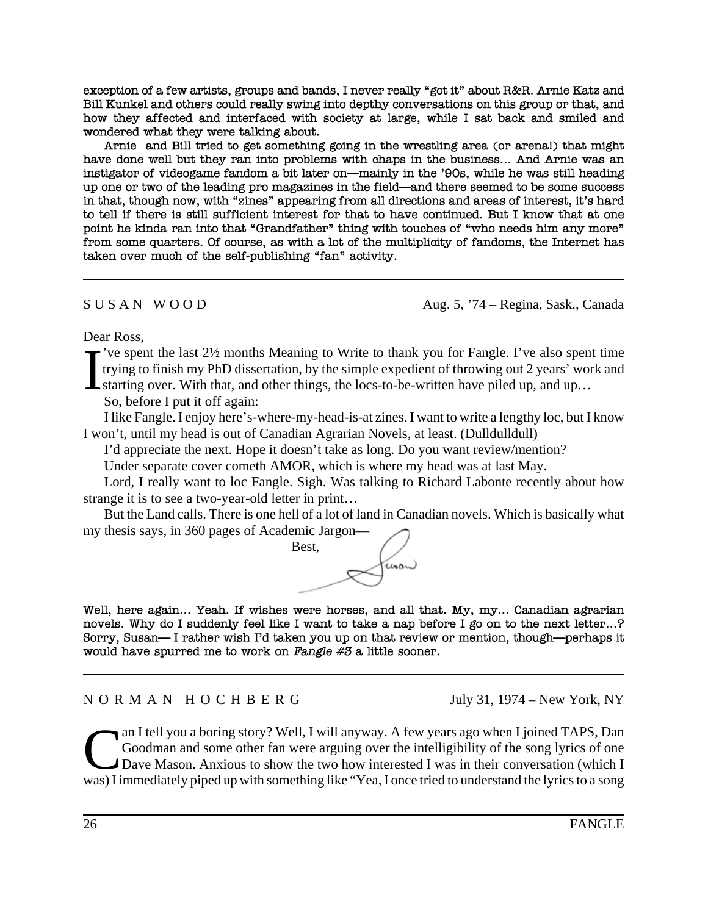exception of a few artists, groups and bands, I never really "got it" about R&R. Arnie Katz and Bill Kunkel and others could really swing into depthy conversations on this group or that, and how they affected and interfaced with society at large, while I sat back and smiled and wondered what they were talking about.

Arnie and Bill tried to get something going in the wrestling area (or arenal) that might have done well but they ran into problems with chaps in the business... And Arnie was an instigator of videogame fandom a bit later on—mainly in the '90s, while he was still heading up one or two of the leading pro magazines in the field—and there seemed to be some success in that, though now, with "zines" appearing from all directions and areas of interest, it's hard to tell if there is still sufficient interest for that to have continued. But I know that at one point he kinda ran into that "Grandfather" thing with touches of "who needs him any more" from some quarters. Of course, as with a lot of the multiplicity of fandoms, the Internet has taken over much of the self-publishing "fan" activity.

 $S \cup S \cap N \cap W \cap O \cap D$  Aug. 5, '74 – Regina, Sask., Canada

Dear Ross,

I 've spent the last 2½ months Meaning to Write to thank you for Fangle. I've also spent time trying to finish my PhD dissertation, by the simple expedient of throwing out 2 years' work and starting over. With that, and other things, the locs-to-be-written have piled up, and up…

So, before I put it off again:

I like Fangle. I enjoy here's-where-my-head-is-at zines. I want to write a lengthy loc, but I know I won't, until my head is out of Canadian Agrarian Novels, at least. (Dulldulldull)

I'd appreciate the next. Hope it doesn't take as long. Do you want review/mention?

Under separate cover cometh AMOR, which is where my head was at last May.

Lord, I really want to loc Fangle. Sigh. Was talking to Richard Labonte recently about how strange it is to see a two-year-old letter in print…

But the Land calls. There is one hell of a lot of land in Canadian novels. Which is basically what my thesis says, in 360 pages of Academic Jargon—

Best, (unon)

Well, here again... Yeah. If wishes were horses, and all that. My, my... Canadian agrarian novels. Why do I suddenly feel like I want to take a nap before I go on to the next letter...? Sorry, Susan—I rather wish I'd taken you up on that review or mention, though—perhaps it would have spurred me to work on Fangle  $#3$  a little sooner.

N O R M A N H O C H B E R G July 31, 1974 – New York, NY

Can I tell you a boring story? Well, I will anyway. A few years ago when I joined TAPS, Dan Goodman and some other fan were arguing over the intelligibility of the song lyrics of one Dave Mason. Anxious to show the two how Goodman and some other fan were arguing over the intelligibility of the song lyrics of one Dave Mason. Anxious to show the two how interested I was in their conversation (which I was) I immediately piped up with something like "Yea, I once tried to understand the lyrics to a song